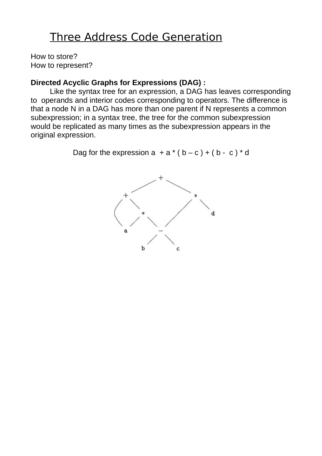# Three Address Code Generation

How to store? How to represent?

### **Directed Acyclic Graphs for Expressions (DAG) :**

Like the syntax tree for an expression, a DAG has leaves corresponding to operands and interior codes corresponding to operators. The difference is that a node N in a DAG has more than one parent if N represents a common subexpression; in a syntax tree, the tree for the common subexpression would be replicated as many times as the subexpression appears in the original expression.

Dag for the expression  $a + a * (b - c) + (b - c) * d$ 

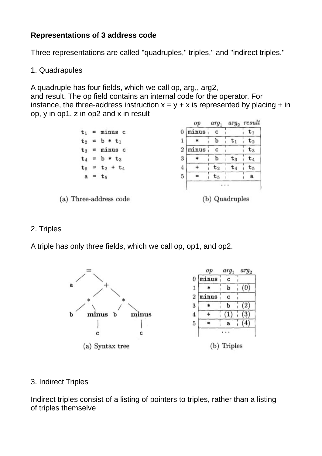## **Representations of 3 address code**

Three representations are called "quadruples," triples," and "indirect triples."

#### 1. Quadrapules

A quadruple has four fields, which we call op, arg,, arg2,

and result. The op field contains an internal code for the operator. For instance, the three-address instruction  $x = y + x$  is represented by placing + in op, y in op1, z in op2 and x in result

|                        |   |                   |                   | op    | $arg_1$        |                | $arg_2$ result |
|------------------------|---|-------------------|-------------------|-------|----------------|----------------|----------------|
| t1                     | Ħ | minus c           | 0                 | minus | $\mathbf{C}$   |                | $\tau_1$       |
|                        |   | $t_2 = b * t_1$   |                   |       | b              |                | ${\tt t}_2$    |
|                        |   | $t_3$ = minus c   | 2                 | minus | c              |                | ${\tt t}_3$    |
|                        |   | $t_4 = b * t_3$   | 3                 |       | b              | $\mathtt{t}_3$ | t4             |
|                        |   | $t_5 = t_2 + t_4$ | 4                 |       | $\mathtt{t}_2$ | U4             | ${\tt t}_5$    |
|                        |   | $a = t_5$         | 5                 |       | $t_{5}$        |                | a              |
|                        |   |                   |                   |       |                |                |                |
| (a) Three-address code |   |                   | Quadruples<br>(b) |       |                |                |                |

#### 2. Triples

A triple has only three fields, which we call op, op1, and op2.



#### 3. Indirect Triples

Indirect triples consist of a listing of pointers to triples, rather than a listing of triples themselve